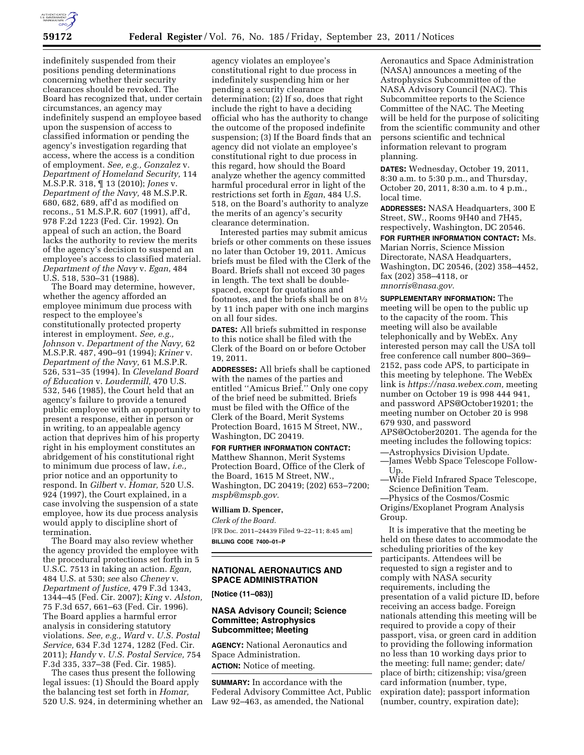

indefinitely suspended from their positions pending determinations concerning whether their security clearances should be revoked. The Board has recognized that, under certain circumstances, an agency may indefinitely suspend an employee based upon the suspension of access to classified information or pending the agency's investigation regarding that access, where the access is a condition of employment. *See, e.g., Gonzalez* v. *Department of Homeland Security,* 114 M.S.P.R. 318, ¶ 13 (2010); *Jones* v. *Department of the Navy,* 48 M.S.P.R. 680, 682, 689, aff'd as modified on recons., 51 M.S.P.R. 607 (1991), aff'd, 978 F.2d 1223 (Fed. Cir. 1992). On appeal of such an action, the Board lacks the authority to review the merits of the agency's decision to suspend an employee's access to classified material. *Department of the Navy* v. *Egan,* 484 U.S. 518, 530–31 (1988).

The Board may determine, however, whether the agency afforded an employee minimum due process with respect to the employee's constitutionally protected property interest in employment. *See, e.g., Johnson* v. *Department of the Navy,* 62 M.S.P.R. 487, 490–91 (1994); *Kriner* v. *Department of the Navy,* 61 M.S.P.R. 526, 531–35 (1994). In *Cleveland Board of Education* v. *Loudermill,* 470 U.S. 532, 546 (1985), the Court held that an agency's failure to provide a tenured public employee with an opportunity to present a response, either in person or in writing, to an appealable agency action that deprives him of his property right in his employment constitutes an abridgement of his constitutional right to minimum due process of law, *i.e.,*  prior notice and an opportunity to respond. In *Gilbert* v. *Homar,* 520 U.S. 924 (1997), the Court explained, in a case involving the suspension of a state employee, how its due process analysis would apply to discipline short of termination.

The Board may also review whether the agency provided the employee with the procedural protections set forth in 5 U.S.C. 7513 in taking an action. *Egan,*  484 U.S. at 530; *see* also *Cheney* v. *Department of Justice,* 479 F.3d 1343, 1344–45 (Fed. Cir. 2007); *King* v. *Alston,*  75 F.3d 657, 661–63 (Fed. Cir. 1996). The Board applies a harmful error analysis in considering statutory violations. *See, e.g., Ward* v. *U.S. Postal Service,* 634 F.3d 1274, 1282 (Fed. Cir. 2011); *Handy* v. *U.S. Postal Service,* 754 F.3d 335, 337–38 (Fed. Cir. 1985).

The cases thus present the following legal issues: (1) Should the Board apply the balancing test set forth in *Homar,*  520 U.S. 924, in determining whether an

agency violates an employee's constitutional right to due process in indefinitely suspending him or her pending a security clearance determination; (2) If so, does that right include the right to have a deciding official who has the authority to change the outcome of the proposed indefinite suspension; (3) If the Board finds that an agency did not violate an employee's constitutional right to due process in this regard, how should the Board analyze whether the agency committed harmful procedural error in light of the restrictions set forth in *Egan*, 484 U.S. 518, on the Board's authority to analyze the merits of an agency's security clearance determination.

Interested parties may submit amicus briefs or other comments on these issues no later than October 19, 2011. Amicus briefs must be filed with the Clerk of the Board. Briefs shall not exceed 30 pages in length. The text shall be doublespaced, except for quotations and footnotes, and the briefs shall be on 81⁄2 by 11 inch paper with one inch margins on all four sides.

**DATES:** All briefs submitted in response to this notice shall be filed with the Clerk of the Board on or before October 19, 2011.

**ADDRESSES:** All briefs shall be captioned with the names of the parties and entitled ''Amicus Brief.'' Only one copy of the brief need be submitted. Briefs must be filed with the Office of the Clerk of the Board, Merit Systems Protection Board, 1615 M Street, NW., Washington, DC 20419.

**FOR FURTHER INFORMATION CONTACT:**  Matthew Shannon, Merit Systems Protection Board, Office of the Clerk of the Board, 1615 M Street, NW., Washington, DC 20419; (202) 653–7200; *mspb@mspb.gov.* 

#### **William D. Spencer,**

*Clerk of the Board.*  [FR Doc. 2011–24439 Filed 9–22–11; 8:45 am] **BILLING CODE 7400–01–P** 

## **NATIONAL AERONAUTICS AND SPACE ADMINISTRATION**

**[Notice (11–083)]** 

### **NASA Advisory Council; Science Committee; Astrophysics Subcommittee; Meeting**

**AGENCY:** National Aeronautics and Space Administration.

**ACTION:** Notice of meeting.

**SUMMARY:** In accordance with the Federal Advisory Committee Act, Public Law 92–463, as amended, the National

Aeronautics and Space Administration (NASA) announces a meeting of the Astrophysics Subcommittee of the NASA Advisory Council (NAC). This Subcommittee reports to the Science Committee of the NAC. The Meeting will be held for the purpose of soliciting from the scientific community and other persons scientific and technical information relevant to program planning.

**DATES:** Wednesday, October 19, 2011, 8:30 a.m. to 5:30 p.m., and Thursday, October 20, 2011, 8:30 a.m. to 4 p.m., local time.

**ADDRESSES:** NASA Headquarters, 300 E Street, SW., Rooms 9H40 and 7H45, respectively, Washington, DC 20546.

**FOR FURTHER INFORMATION CONTACT:** Ms.

Marian Norris, Science Mission Directorate, NASA Headquarters, Washington, DC 20546, (202) 358–4452, fax (202) 358–4118, or *mnorris@nasa.gov.* 

**SUPPLEMENTARY INFORMATION:** The meeting will be open to the public up to the capacity of the room. This meeting will also be available telephonically and by WebEx. Any interested person may call the USA toll free conference call number 800–369– 2152, pass code APS, to participate in this meeting by telephone. The WebEx link is *https://nasa.webex.com,* meeting number on October 19 is 998 444 941, and password APS@October19201; the meeting number on October 20 is 998 679 930, and password APS@October20201. The agenda for the meeting includes the following topics:

—Astrophysics Division Update.

—James Webb Space Telescope Follow-Up.

—Wide Field Infrared Space Telescope, Science Definition Team.

—Physics of the Cosmos/Cosmic Origins/Exoplanet Program Analysis Group.

It is imperative that the meeting be held on these dates to accommodate the scheduling priorities of the key participants. Attendees will be requested to sign a register and to comply with NASA security requirements, including the presentation of a valid picture ID, before receiving an access badge. Foreign nationals attending this meeting will be required to provide a copy of their passport, visa, or green card in addition to providing the following information no less than 10 working days prior to the meeting: full name; gender; date/ place of birth; citizenship; visa/green card information (number, type, expiration date); passport information (number, country, expiration date);